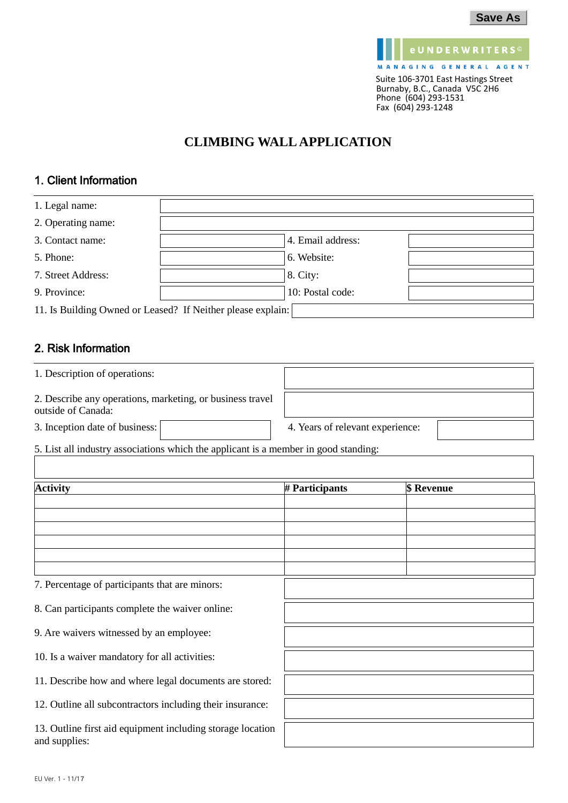

# **CLIMBING WALL APPLICATION**

## 1. Client Information

| 1. Legal name:                                              |                   |  |
|-------------------------------------------------------------|-------------------|--|
| 2. Operating name:                                          |                   |  |
| 3. Contact name:                                            | 4. Email address: |  |
| 5. Phone:                                                   | 6. Website:       |  |
| 7. Street Address:                                          | 8. City:          |  |
| 9. Province:                                                | 10: Postal code:  |  |
| 11. Is Building Owned or Leased? If Neither please explain: |                   |  |

## 2. Risk Information

| 1. Description of operations:                                                   |                                  |
|---------------------------------------------------------------------------------|----------------------------------|
| 2. Describe any operations, marketing, or business travel<br>outside of Canada: |                                  |
| 3. Inception date of business:                                                  | 4. Years of relevant experience: |

5. List all industry associations which the applicant is a member in good standing:

| <b>Activity</b>                                                             | # Participants | \$ Revenue |
|-----------------------------------------------------------------------------|----------------|------------|
|                                                                             |                |            |
|                                                                             |                |            |
|                                                                             |                |            |
|                                                                             |                |            |
|                                                                             |                |            |
|                                                                             |                |            |
| 7. Percentage of participants that are minors:                              |                |            |
| 8. Can participants complete the waiver online:                             |                |            |
| 9. Are waivers witnessed by an employee:                                    |                |            |
| 10. Is a waiver mandatory for all activities:                               |                |            |
| 11. Describe how and where legal documents are stored:                      |                |            |
| 12. Outline all subcontractors including their insurance:                   |                |            |
| 13. Outline first aid equipment including storage location<br>and supplies: |                |            |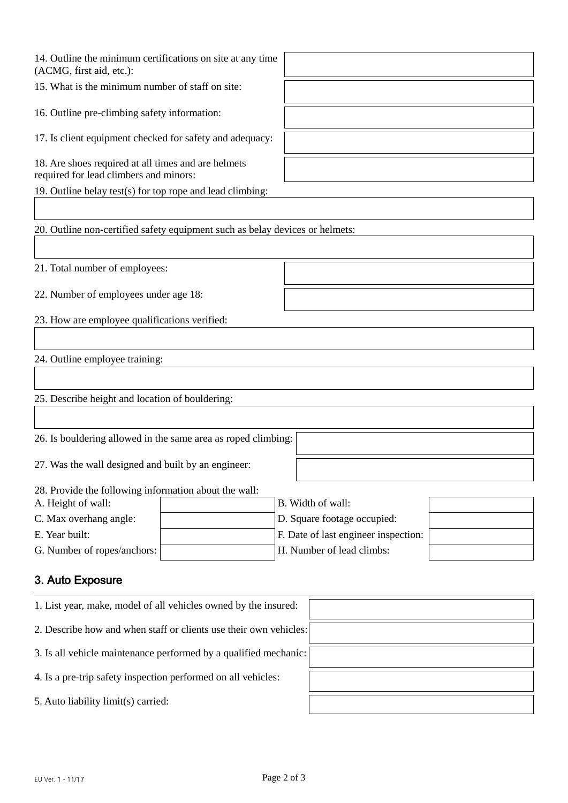| 14. Outline the minimum certifications on site at any time<br>(ACMG, first aid, etc.):        |                                                                     |  |
|-----------------------------------------------------------------------------------------------|---------------------------------------------------------------------|--|
| 15. What is the minimum number of staff on site:                                              |                                                                     |  |
| 16. Outline pre-climbing safety information:                                                  |                                                                     |  |
| 17. Is client equipment checked for safety and adequacy:                                      |                                                                     |  |
| 18. Are shoes required at all times and are helmets<br>required for lead climbers and minors: |                                                                     |  |
| 19. Outline belay test(s) for top rope and lead climbing:                                     |                                                                     |  |
|                                                                                               |                                                                     |  |
| 20. Outline non-certified safety equipment such as belay devices or helmets:                  |                                                                     |  |
|                                                                                               |                                                                     |  |
| 21. Total number of employees:                                                                |                                                                     |  |
| 22. Number of employees under age 18:                                                         |                                                                     |  |
| 23. How are employee qualifications verified:                                                 |                                                                     |  |
|                                                                                               |                                                                     |  |
| 24. Outline employee training:                                                                |                                                                     |  |
|                                                                                               |                                                                     |  |
| 25. Describe height and location of bouldering:                                               |                                                                     |  |
|                                                                                               |                                                                     |  |
| 26. Is bouldering allowed in the same area as roped climbing:                                 |                                                                     |  |
| 27. Was the wall designed and built by an engineer:                                           |                                                                     |  |
| 28. Provide the following information about the wall:                                         |                                                                     |  |
| A. Height of wall:                                                                            | B. Width of wall:                                                   |  |
| C. Max overhang angle:<br>E. Year built:                                                      | D. Square footage occupied:<br>F. Date of last engineer inspection: |  |
| G. Number of ropes/anchors:                                                                   | H. Number of lead climbs:                                           |  |
|                                                                                               |                                                                     |  |
| 3. Auto Exposure                                                                              |                                                                     |  |
| 1. List year, make, model of all vehicles owned by the insured:                               |                                                                     |  |
| 2. Describe how and when staff or clients use their own vehicles:                             |                                                                     |  |
| 3. Is all vehicle maintenance performed by a qualified mechanic:                              |                                                                     |  |
| 4. Is a pre-trip safety inspection performed on all vehicles:                                 |                                                                     |  |
| 5. Auto liability limit(s) carried:                                                           |                                                                     |  |